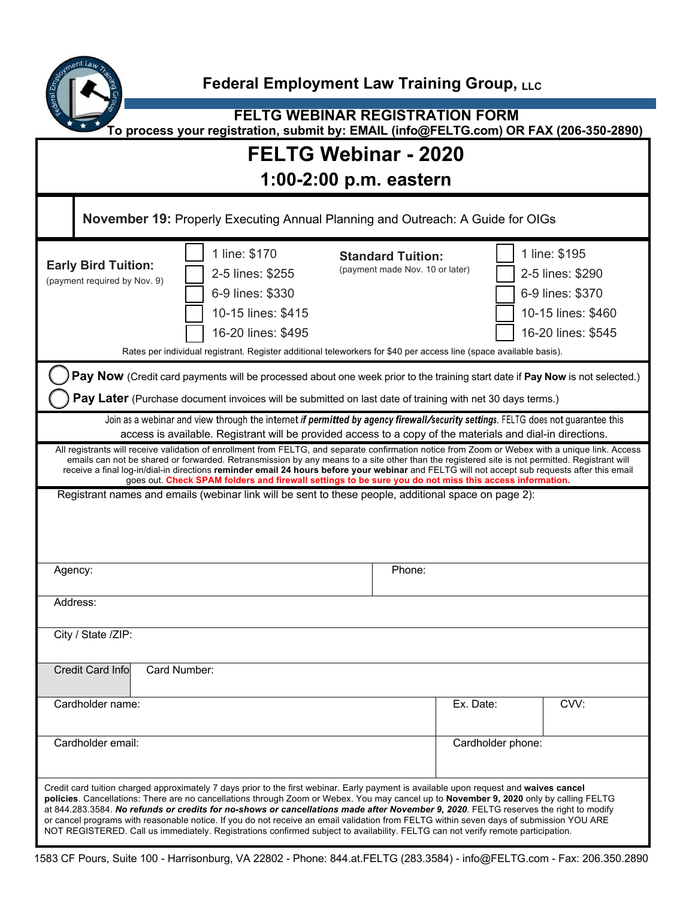

**FELTG WEBINAR REGISTRATION FORM To process your registration, submit by: EMAIL (info@FELTG.com) OR FAX (206-350-2890)**

## **FELTG Webinar - 2020**

| <b>November 19: Properly Executing Annual Planning and Outreach: A Guide for OIGs</b>                                                                                                                                                                                                                                                                                                                                                                                                                                                                                                                                                                                                                   |                                                                                                                                                                                                                         |                                                             |                   |                                                                                                   |
|---------------------------------------------------------------------------------------------------------------------------------------------------------------------------------------------------------------------------------------------------------------------------------------------------------------------------------------------------------------------------------------------------------------------------------------------------------------------------------------------------------------------------------------------------------------------------------------------------------------------------------------------------------------------------------------------------------|-------------------------------------------------------------------------------------------------------------------------------------------------------------------------------------------------------------------------|-------------------------------------------------------------|-------------------|---------------------------------------------------------------------------------------------------|
| <b>Early Bird Tuition:</b><br>(payment required by Nov. 9)                                                                                                                                                                                                                                                                                                                                                                                                                                                                                                                                                                                                                                              | 1 line: \$170<br>2-5 lines: \$255<br>6-9 lines: \$330<br>10-15 lines: \$415<br>16-20 lines: \$495<br>Rates per individual registrant. Register additional teleworkers for \$40 per access line (space available basis). | <b>Standard Tuition:</b><br>(payment made Nov. 10 or later) |                   | 1 line: \$195<br>2-5 lines: \$290<br>6-9 lines: \$370<br>10-15 lines: \$460<br>16-20 lines: \$545 |
| Pay Now (Credit card payments will be processed about one week prior to the training start date if Pay Now is not selected.)<br>Pay Later (Purchase document invoices will be submitted on last date of training with net 30 days terms.)                                                                                                                                                                                                                                                                                                                                                                                                                                                               |                                                                                                                                                                                                                         |                                                             |                   |                                                                                                   |
| Join as a webinar and view through the internet if permitted by agency firewall/security settings. FELTG does not guarantee this<br>access is available. Registrant will be provided access to a copy of the materials and dial-in directions.                                                                                                                                                                                                                                                                                                                                                                                                                                                          |                                                                                                                                                                                                                         |                                                             |                   |                                                                                                   |
| All registrants will receive validation of enrollment from FELTG, and separate confirmation notice from Zoom or Webex with a unique link. Access<br>emails can not be shared or forwarded. Retransmission by any means to a site other than the registered site is not permitted. Registrant will<br>receive a final log-in/dial-in directions reminder email 24 hours before your webinar and FELTG will not accept sub requests after this email<br>goes out. Check SPAM folders and firewall settings to be sure you do not miss this access information.                                                                                                                                            |                                                                                                                                                                                                                         |                                                             |                   |                                                                                                   |
| Registrant names and emails (webinar link will be sent to these people, additional space on page 2):                                                                                                                                                                                                                                                                                                                                                                                                                                                                                                                                                                                                    |                                                                                                                                                                                                                         |                                                             |                   |                                                                                                   |
| Agency:                                                                                                                                                                                                                                                                                                                                                                                                                                                                                                                                                                                                                                                                                                 |                                                                                                                                                                                                                         | Phone:                                                      |                   |                                                                                                   |
| Address:                                                                                                                                                                                                                                                                                                                                                                                                                                                                                                                                                                                                                                                                                                |                                                                                                                                                                                                                         |                                                             |                   |                                                                                                   |
| City / State /ZIP:                                                                                                                                                                                                                                                                                                                                                                                                                                                                                                                                                                                                                                                                                      |                                                                                                                                                                                                                         |                                                             |                   |                                                                                                   |
| <b>Credit Card Info</b><br>Card Number:                                                                                                                                                                                                                                                                                                                                                                                                                                                                                                                                                                                                                                                                 |                                                                                                                                                                                                                         |                                                             |                   |                                                                                                   |
| Cardholder name:                                                                                                                                                                                                                                                                                                                                                                                                                                                                                                                                                                                                                                                                                        |                                                                                                                                                                                                                         |                                                             | Ex. Date:         | CVV:                                                                                              |
| Cardholder email:                                                                                                                                                                                                                                                                                                                                                                                                                                                                                                                                                                                                                                                                                       |                                                                                                                                                                                                                         |                                                             | Cardholder phone: |                                                                                                   |
| Credit card tuition charged approximately 7 days prior to the first webinar. Early payment is available upon request and waives cancel<br>policies. Cancellations: There are no cancellations through Zoom or Webex. You may cancel up to November 9, 2020 only by calling FELTG<br>at 844.283.3584. No refunds or credits for no-shows or cancellations made after November 9, 2020. FELTG reserves the right to modify<br>or cancel programs with reasonable notice. If you do not receive an email validation from FELTG within seven days of submission YOU ARE<br>NOT REGISTERED. Call us immediately. Registrations confirmed subject to availability. FELTG can not verify remote participation. |                                                                                                                                                                                                                         |                                                             |                   |                                                                                                   |